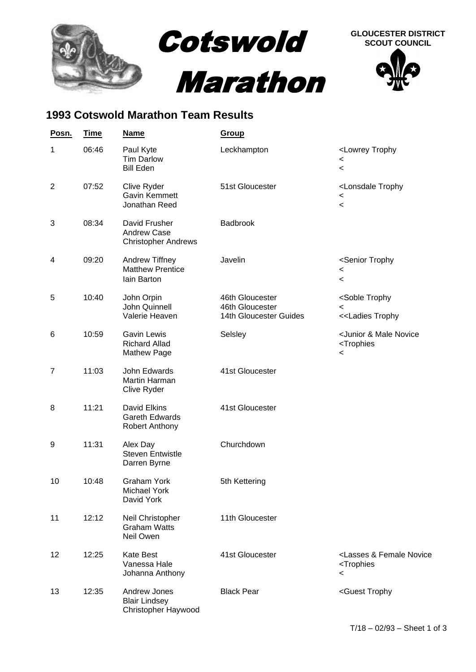

## **1993 Cotswold Marathon Team Results**

| Posn.          | <b>Time</b> | <b>Name</b>                                                      | <b>Group</b>                                                 |                                                                                               |
|----------------|-------------|------------------------------------------------------------------|--------------------------------------------------------------|-----------------------------------------------------------------------------------------------|
| 1              | 06:46       | Paul Kyte<br>Tim Darlow<br><b>Bill Eden</b>                      | Leckhampton                                                  | <lowrey trophy<br=""><math>\,&lt;\,</math><br/><math>\,&lt;\,</math></lowrey>                 |
| $\overline{2}$ | 07:52       | Clive Ryder<br>Gavin Kemmett<br>Jonathan Reed                    | 51st Gloucester                                              | <lonsdale trophy<br=""><math>\,&lt;\,</math><br/><math>\,&lt;\,</math></lonsdale>             |
| 3              | 08:34       | David Frusher<br>Andrew Case<br><b>Christopher Andrews</b>       | Badbrook                                                     |                                                                                               |
| 4              | 09:20       | Andrew Tiffney<br><b>Matthew Prentice</b><br>lain Barton         | Javelin                                                      | <senior trophy<br=""><math>\,&lt;\,</math><br/><math display="inline">\,&lt;</math></senior>  |
| 5              | 10:40       | John Orpin<br>John Quinnell<br>Valerie Heaven                    | 46th Gloucester<br>46th Gloucester<br>14th Gloucester Guides | <soble trophy<br=""><math>\,&lt;\,</math><br/>&lt;<ladies td="" trophy<=""></ladies></soble>  |
| 6              | 10:59       | <b>Gavin Lewis</b><br><b>Richard Allad</b><br><b>Mathew Page</b> | Selsley                                                      | <junior &="" male="" novice<br=""><trophies<br><math>\,&lt;\,</math></trophies<br></junior>   |
| $\overline{7}$ | 11:03       | John Edwards.<br>Martin Harman<br>Clive Ryder                    | 41st Gloucester                                              |                                                                                               |
| 8              | 11:21       | David Elkins<br>Gareth Edwards<br><b>Robert Anthony</b>          | 41st Gloucester                                              |                                                                                               |
| 9              | 11:31       | Alex Day<br><b>Steven Entwistle</b><br>Darren Byrne              | Churchdown                                                   |                                                                                               |
| 10             | 10:48       | <b>Graham York</b><br><b>Michael York</b><br>David York          | 5th Kettering                                                |                                                                                               |
| 11             | 12:12       | Neil Christopher<br><b>Graham Watts</b><br>Neil Owen             | 11th Gloucester                                              |                                                                                               |
| 12             | 12:25       | <b>Kate Best</b><br>Vanessa Hale<br>Johanna Anthony              | 41st Gloucester                                              | <lasses &="" female="" novice<br=""><trophies<br><math>\,&lt;\,</math></trophies<br></lasses> |
| 13             | 12:35       | Andrew Jones<br><b>Blair Lindsey</b><br>Christopher Haywood      | <b>Black Pear</b>                                            | <guest td="" trophy<=""></guest>                                                              |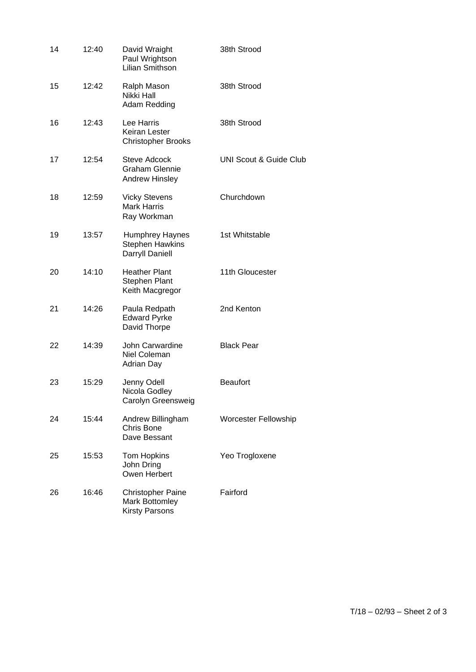| 14 | 12:40 | David Wraight<br>Paul Wrightson<br>Lilian Smithson                    | 38th Strood                       |
|----|-------|-----------------------------------------------------------------------|-----------------------------------|
| 15 | 12:42 | Ralph Mason<br>Nikki Hall<br>Adam Redding                             | 38th Strood                       |
| 16 | 12:43 | Lee Harris<br>Keiran Lester<br><b>Christopher Brooks</b>              | 38th Strood                       |
| 17 | 12:54 | <b>Steve Adcock</b><br><b>Graham Glennie</b><br><b>Andrew Hinsley</b> | <b>UNI Scout &amp; Guide Club</b> |
| 18 | 12:59 | <b>Vicky Stevens</b><br><b>Mark Harris</b><br>Ray Workman             | Churchdown                        |
| 19 | 13:57 | Humphrey Haynes<br><b>Stephen Hawkins</b><br>Darryll Daniell          | 1st Whitstable                    |
| 20 | 14:10 | <b>Heather Plant</b><br><b>Stephen Plant</b><br>Keith Macgregor       | 11th Gloucester                   |
| 21 | 14:26 | Paula Redpath<br><b>Edward Pyrke</b><br>David Thorpe                  | 2nd Kenton                        |
| 22 | 14:39 | John Carwardine<br>Niel Coleman<br>Adrian Day                         | <b>Black Pear</b>                 |
| 23 | 15:29 | Jenny Odell<br>Nicola Godley<br>Carolyn Greensweig                    | <b>Beaufort</b>                   |
| 24 | 15:44 | Andrew Billingham<br>Chris Bone<br>Dave Bessant                       | <b>Worcester Fellowship</b>       |
| 25 | 15:53 | Tom Hopkins<br>John Dring<br>Owen Herbert                             | Yeo Trogloxene                    |
| 26 | 16:46 | <b>Christopher Paine</b><br>Mark Bottomley<br><b>Kirsty Parsons</b>   | Fairford                          |